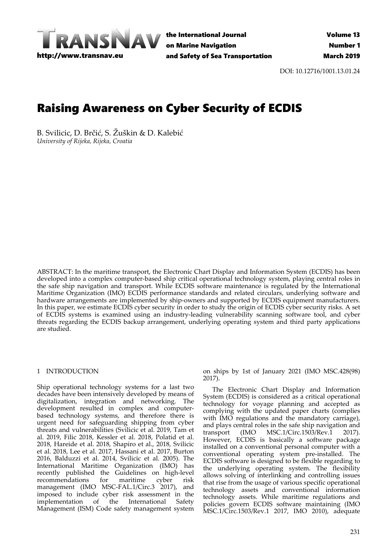

the International Journal on Marine Navigation and Safety of Sea Transportation

DOI: 10.12716/1001.13.01.24

# Raising Awareness on Cyber Security of ECDIS

B. Svilicic, D. Brčić, S. Žuškin & D. Kalebić *University of Rijeka, Rijeka, Croatia* 

ABSTRACT: In the maritime transport, the Electronic Chart Display and Information System (ECDIS) has been developed into a complex computer-based ship critical operational technology system, playing central roles in the safe ship navigation and transport. While ECDIS software maintenance is regulated by the International Maritime Organization (IMO) ECDIS performance standards and related circulars, underlying software and hardware arrangements are implemented by ship-owners and supported by ECDIS equipment manufacturers. In this paper, we estimate ECDIS cyber security in order to study the origin of ECDIS cyber security risks. A set of ECDIS systems is examined using an industry-leading vulnerability scanning software tool, and cyber threats regarding the ECDIS backup arrangement, underlying operating system and third party applications are studied.

## 1 INTRODUCTION

Ship operational technology systems for a last two decades have been intensively developed by means of digitalization, integration and networking. The development resulted in complex and computerbased technology systems, and therefore there is urgent need for safeguarding shipping from cyber threats and vulnerabilities (Svilicic et al. 2019, Tam et al. 2019, Filic 2018, Kessler et al. 2018, Polatid et al. 2018, Hareide et al. 2018, Shapiro et al., 2018, Svilicic et al. 2018, Lee et al. 2017, Hassani et al. 2017, Burton 2016, Balduzzi et al. 2014, Svilicic et al. 2005). The International Maritime Organization (IMO) has recently published the Guidelines on high-level recommendations for maritime cyber risk management (IMO MSC-FAL.1/Circ.3 2017), and imposed to include cyber risk assessment in the implementation of the International Safety Management (ISM) Code safety management system

on ships by 1st of January 2021 (IMO MSC.428(98) 2017).

The Electronic Chart Display and Information System (ECDIS) is considered as a critical operational technology for voyage planning and accepted as complying with the updated paper charts (complies with IMO regulations and the mandatory carriage), and plays central roles in the safe ship navigation and transport (IMO MSC.1/Circ.1503/Rev.1 2017). However, ECDIS is basically a software package installed on a conventional personal computer with a conventional operating system pre-installed. The ECDIS software is designed to be flexible regarding to the underlying operating system. The flexibility allows solving of interlinking and controlling issues that rise from the usage of various specific operational technology assets and conventional information technology assets. While maritime regulations and policies govern ECDIS software maintaining (IMO MSC.1/Circ.1503/Rev.1 2017, IMO 2010), adequate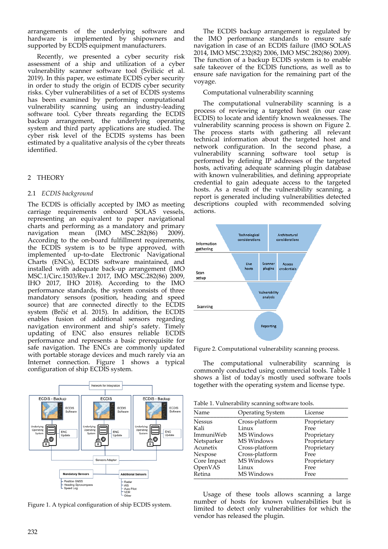arrangements of the underlying software and<br>hardware is implemented by shipowners and hardware is implemented by shipowners supported by ECDIS equipment manufacturers.

Recently, we presented a cyber security risk assessment of a ship and utilization of a cyber vulnerability scanner software tool (Svilicic et al. 2019). In this paper, we estimate ECDIS cyber security in order to study the origin of ECDIS cyber security risks. Cyber vulnerabilities of a set of ECDIS systems has been examined by performing computational vulnerability scanning using an industry-leading software tool. Cyber threats regarding the ECDIS backup arrangement, the underlying operating system and third party applications are studied. The cyber risk level of the ECDIS systems has been estimated by a qualitative analysis of the cyber threats identified.

# 2 THEORY

## 2.1 *ECDIS background*

The ECDIS is officially accepted by IMO as meeting carriage requirements onboard SOLAS vessels, representing an equivalent to paper navigational charts and performing as a mandatory and primary navigation mean (IMO MSC.282(86) 2009). According to the on-board fulfillment requirements, the ECDIS system is to be type approved, with implemented up-to-date Electronic Navigational Charts (ENCs), ECDIS software maintained, and installed with adequate back-up arrangement (IMO MSC.1/Circ.1503/Rev.1 2017, IMO MSC.282(86) 2009, IHO 2017, IHO 2018). According to the IMO performance standards, the system consists of three mandatory sensors (position, heading and speed source) that are connected directly to the ECDIS system (Brčić et al. 2015). In addition, the ECDIS enables fusion of additional sensors regarding navigation environment and ship's safety. Timely updating of ENC also ensures reliable ECDIS performance and represents a basic prerequisite for safe navigation. The ENCs are commonly updated with portable storage devices and much rarely via an Internet connection. Figure 1 shows a typical configuration of ship ECDIS system.



Figure 1. A typical configuration of ship ECDIS system.

The ECDIS backup arrangement is regulated by the IMO performance standards to ensure safe navigation in case of an ECDIS failure (IMO SOLAS 2014, IMO MSC.232(82) 2006, IMO MSC.282(86) 2009). The function of a backup ECDIS system is to enable safe takeover of the ECDIS functions, as well as to ensure safe navigation for the remaining part of the voyage.

## Computational vulnerability scanning

The computational vulnerability scanning is a process of reviewing a targeted host (in our case ECDIS) to locate and identify known weaknesses. The vulnerability scanning process is shown on Figure 2. The process starts with gathering all relevant technical information about the targeted host and network configuration. In the second phase, a vulnerability scanning software tool setup is performed by defining IP addresses of the targeted hosts, activating adequate scanning plugin database with known vulnerabilities, and defining appropriate credential to gain adequate access to the targeted hosts. As a result of the vulnerability scanning, a report is generated including vulnerabilities detected descriptions coupled with recommended solving actions.



Figure 2. Computational vulnerability scanning process.

The computational vulnerability scanning is commonly conducted using commercial tools. Table 1 shows a list of today's mostly used software tools together with the operating system and license type.

| Table 1. Vulnerability scanning software tools. |                         |             |  |  |  |
|-------------------------------------------------|-------------------------|-------------|--|--|--|
| Name                                            | <b>Operating System</b> | License     |  |  |  |
| <b>Nessus</b>                                   | Cross-platform          | Proprietary |  |  |  |
| Kali                                            | Linux                   | Free        |  |  |  |
| ImmuniWeb                                       | MS Windows              | Proprietary |  |  |  |
| Netsparker                                      | MS Windows              | Proprietary |  |  |  |
| Acunetix                                        | Cross-platform          | Proprietary |  |  |  |
| Nexpose                                         | Cross-platform          | Free        |  |  |  |
| Core Impact                                     | MS Windows              | Proprietary |  |  |  |
| OpenVAS                                         | Linux                   | Free        |  |  |  |
| Retina                                          | MS Windows              | Free        |  |  |  |

Usage of these tools allows scanning a large number of hosts for known vulnerabilities but is limited to detect only vulnerabilities for which the vendor has released the plugin.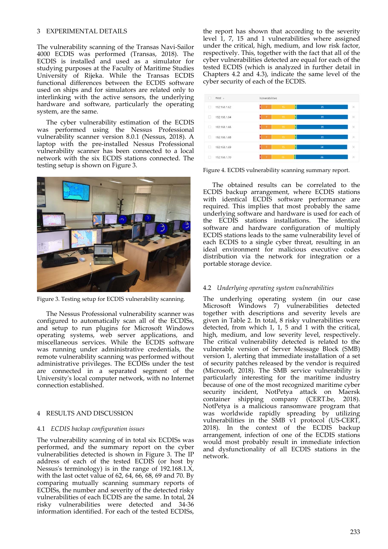## 3 EXPERIMENTAL DETAILS

The vulnerability scanning of the Transas Navi-Sailor 4000 ECDIS was performed (Transas, 2018). The ECDIS is installed and used as a simulator for studying purposes at the Faculty of Maritime Studies University of Rijeka. While the Transas ECDIS functional differences between the ECDIS software used on ships and for simulators are related only to interlinking with the active sensors, the underlying hardware and software, particularly the operating system, are the same.

The cyber vulnerability estimation of the ECDIS was performed using the Nessus Professional vulnerability scanner version 8.0.1 (Nessus, 2018). A laptop with the pre-installed Nessus Professional vulnerability scanner has been connected to a local network with the six ECDIS stations connected. The testing setup is shown on Figure 3.



Figure 3. Testing setup for ECDIS vulnerability scanning.

The Nessus Professional vulnerability scanner was configured to automatically scan all of the ECDISs, and setup to run plugins for Microsoft Windows operating systems, web server applications, and miscellaneous services. While the ECDIS software was running under administrative credentials, the remote vulnerability scanning was performed without administrative privileges. The ECDISs under the test are connected in a separated segment of the University's local computer network, with no Internet connection established.

## 4 RESULTS AND DISCUSSION

## 4.1 *ECDIS backup configuration issues*

The vulnerability scanning of in total six ECDISs was performed, and the summary report on the cyber vulnerabilities detected is shown in Figure 3. The IP address of each of the tested ECDIS (or host by Nessus's terminology) is in the range of 192.168.1.X, with the last octet value of 62, 64, 66, 68, 69 and 70. By comparing mutually scanning summary reports of ECDISs, the number and severity of the detected risky vulnerabilities of each ECDIS are the same. In total, 24 risky vulnerabilities were detected and 34-36 information identified. For each of the tested ECDISs,

the report has shown that according to the severity level 1, 7, 15 and 1 vulnerabilities where assigned under the critical, high, medium, and low risk factor, respectively. This, together with the fact that all of the cyber vulnerabilities detected are equal for each of the tested ECDIS (which is analyzed in further detail in Chapters 4.2 and 4.3), indicate the same level of the cyber security of each of the ECDIS.



Figure 4. ECDIS vulnerability scanning summary report.

The obtained results can be correlated to the ECDIS backup arrangement, where ECDIS stations with identical ECDIS software performance are required. This implies that most probably the same underlying software and hardware is used for each of the ECDIS stations installations. The identical software and hardware configuration of multiply ECDIS stations leads to the same vulnerability level of each ECDIS to a single cyber threat, resulting in an ideal environment for malicious executive codes distribution via the network for integration or a portable storage device.

## 4.2 *Underlying operating system vulnerabilities*

The underlying operating system (in our case Microsoft Windows 7) vulnerabilities detected together with descriptions and severity levels are given in Table 2. In total, 8 risky vulnerabilities were detected, from which 1, 1, 5 and 1 with the critical, high, medium, and low severity level, respectively. The critical vulnerability detected is related to the vulnerable version of Server Message Block (SMB) version 1, alerting that immediate installation of a set of security patches released by the vendor is required (Microsoft, 2018). The SMB service vulnerability is particularly interesting for the maritime industry because of one of the most recognized maritime cyber security incident, NotPetya attack on Maersk container shipping company (CERT.be, 2018). NotPetya is a malicious ransomware program that was worldwide rapidly spreading by utilizing vulnerabilities in the SMB v1 protocol (US-CERT, 2018). In the context of the ECDIS backup arrangement, infection of one of the ECDIS stations would most probably result in immediate infection and dysfunctionality of all ECDIS stations in the network.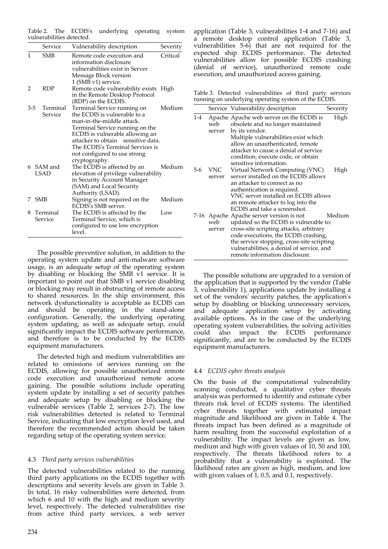Table 2. The ECDIS's underlying operating system vulnerabilities detected. \_\_\_\_\_\_\_\_\_\_\_\_\_\_\_\_\_\_\_\_\_\_\_\_\_\_\_\_\_\_\_\_\_\_\_\_\_\_\_\_\_\_\_\_\_\_\_

|         | Service    | Vulnerability description                                                                                                                    | Severity |  |   |         |                              |        |
|---------|------------|----------------------------------------------------------------------------------------------------------------------------------------------|----------|--|---|---------|------------------------------|--------|
| 1       | <b>SMB</b> | Remote code execution and<br>information disclosure                                                                                          | Critical |  |   |         |                              |        |
|         |            | vulnerabilities exist in Server                                                                                                              |          |  |   |         |                              |        |
|         |            |                                                                                                                                              |          |  |   |         |                              |        |
|         |            | Message Block version<br>1 (SMB v1) service.                                                                                                 |          |  |   |         |                              |        |
| 2       | <b>RDP</b> |                                                                                                                                              |          |  |   |         |                              |        |
|         |            | Remote code vulnerability exists High                                                                                                        |          |  |   |         |                              |        |
|         |            | in the Remote Desktop Protocol                                                                                                               |          |  |   |         |                              |        |
|         |            | (RDP) on the ECDIS.                                                                                                                          |          |  |   |         |                              |        |
| $3 - 5$ | Terminal   | Terminal Service running on                                                                                                                  | Medium   |  |   |         |                              |        |
|         | Service    | the ECDIS is vulnerable to a                                                                                                                 |          |  |   |         |                              |        |
|         |            | man-in-the-middle attack.                                                                                                                    |          |  |   |         |                              |        |
|         |            | Terminal Service running on the<br>ECDIS is vulnerable allowing an<br>attacker to obtain sensitive data.<br>The ECDIS's Terminal Services is |          |  |   |         |                              |        |
|         |            |                                                                                                                                              |          |  |   |         | not configured to use strong |        |
|         |            |                                                                                                                                              |          |  |   |         | cryptography.                |        |
|         |            |                                                                                                                                              |          |  | 6 | SAM and | The ECDIS is affected by an  | Medium |
|         | LSAD       | elevation of privilege vulnerability                                                                                                         |          |  |   |         |                              |        |
|         |            | in Security Account Manager                                                                                                                  |          |  |   |         |                              |        |
|         |            | (SAM) and Local Security                                                                                                                     |          |  |   |         |                              |        |
|         |            | Authority (LSAD).                                                                                                                            |          |  |   |         |                              |        |
| 7       | <b>SMB</b> | Signing is not required on the                                                                                                               | Medium   |  |   |         |                              |        |
|         |            | <b>ECDIS's SMB server.</b>                                                                                                                   |          |  |   |         |                              |        |
| 8       | Terminal   | The ECDIS is affected by the                                                                                                                 | Low      |  |   |         |                              |        |
|         | Service    | Terminal Service, which is                                                                                                                   |          |  |   |         |                              |        |
|         |            | configured to use low encryption                                                                                                             |          |  |   |         |                              |        |
|         |            | level.                                                                                                                                       |          |  |   |         |                              |        |

The possible preventive solution, in addition to the operating system update and anti-malware software usage, is an adequate setup of the operating system by disabling or blocking the SMB v1 service. It is important to point out that SMB v1 service disabling or blocking may result in obstructing of remote access to shared resources. In the ship environment, this network dysfunctionality is acceptable as ECDIS can and should be operating in the stand-alone configuration. Generally, the underlying operating system updating, as well as adequate setup, could significantly impact the ECDIS software performance, and therefore is to be conducted by the ECDIS equipment manufacturers.

The detected high and medium vulnerabilities are related to omissions of services running on the ECDIS, allowing for possible unauthorized remote code execution and unauthorized remote access gaining. The possible solutions include operating system update by installing a set of security patches and adequate setup by disabling or blocking the vulnerable services (Table 2, services 2-7). The low risk vulnerabilities detected is related to Terminal Service, indicating that low encryption level used, and therefore the recommended action should be taken regarding setup of the operating system service.

## 4.3 *Third party services vulnerabilities*

The detected vulnerabilities related to the running third party applications on the ECDIS together with descriptions and severity levels are given in Table 3. In total, 16 risky vulnerabilities were detected, from which 6 and 10 with the high and medium severity level, respectively. The detected vulnerabilities rise from active third party services, a web server application (Table 3, vulnerabilities 1-4 and 7-16) and a remote desktop control application (Table 3, vulnerabilities 5-6) that are not required for the expected ship ECDIS performance. The detected vulnerabilities allow for possible ECDIS crashing (denial of service), unauthorized remote code execution, and unauthorized access gaining.

Table 3. Detected vulnerabilities of third party services running on underlying operating system of the ECDIS.

|       |               | Service Vulnerability description                                                                                                                                                                                                                                                                  | Severity |
|-------|---------------|----------------------------------------------------------------------------------------------------------------------------------------------------------------------------------------------------------------------------------------------------------------------------------------------------|----------|
| $1-4$ | web<br>server | Apache Apache web server on the ECDIS is<br>obsolete and no longer maintained<br>by its vendor.<br>Multiple vulnerabilities exist which<br>allow an unauthenticated, remote<br>attacker to cause a denial of service<br>condition, execute code, or obtain                                         | High     |
| 5-6   | VNC<br>server | sensitive information.<br>Virtual Network Computing (VNC)<br>server installed on the ECDIS allows<br>an attacker to connect as no<br>authentication is required.<br>VNC server installed on ECDIS allows<br>an remote attacker to log into the<br>ECDIS and take a screenshot.                     | High     |
|       | web<br>server | 7-16 Apache Apache server version is not<br>updated so the ECDIS is vulnerable to:<br>cross-site scripting attacks, arbitrary<br>code executions, the ECDIS crashing,<br>the service stopping, cross-site scripting<br>vulnerabilities, a denial of service, and<br>remote information disclosure. | Medium   |

The possible solutions are upgraded to a version of the application that is supported by the vendor (Table 3, vulnerability 1), applications update by installing a set of the vendors' security patches, the application's setup by disabling or blocking unnecessary services, and adequate application setup by activating available options. As in the case of the underlying operating system vulnerabilities, the solving activities could also impact the ECDIS performance significantly, and are to be conducted by the ECDIS equipment manufacturers.

## 4.4 *ECDIS cyber threats analysis*

On the basis of the computational vulnerability scanning conducted, a qualitative cyber threats analysis was performed to identify and estimate cyber threats risk level of ECDIS systems. The identified cyber threats together with estimated impact magnitude and likelihood are given in Table 4. The threats impact has been defined as a magnitude of harm resulting from the successful exploitation of a vulnerability. The impact levels are given as low, medium and high with given values of 10, 50 and 100, respectively. The threats likelihood refers to a probability that a vulnerability is exploited. The likelihood rates are given as high, medium, and low with given values of  $1$ , 0.5, and 0.1, respectively.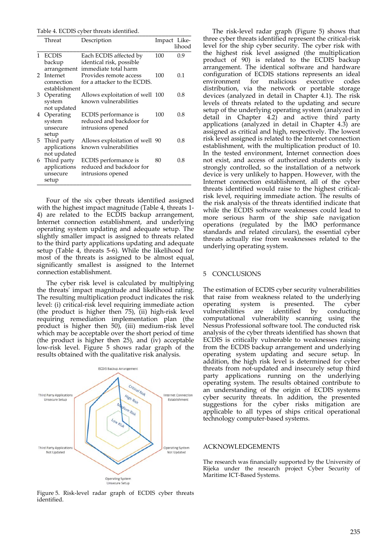Table 4. ECDIS cyber threats identified.

|               | Threat        | Description                      | Impact Like- |        |
|---------------|---------------|----------------------------------|--------------|--------|
|               |               |                                  |              | lihood |
| 1             | <b>ECDIS</b>  | Each ECDIS affected by           | 100          | 0.9    |
|               | backup        | identical risk, possible         |              |        |
|               |               | arrangement immediate total harm |              |        |
| $\mathcal{P}$ | Internet      | Provides remote access           | 100          | 0.1    |
|               | connection    | for a attacker to the ECDIS.     |              |        |
|               | establishment |                                  |              |        |
| 3             | Operating     | Allows exploitation of well 100  |              | 0.8    |
|               | system        | known vulnerabilities            |              |        |
|               | not updated   |                                  |              |        |
|               | 4 Operating   | ECDIS performance is             | 100          | 0.8    |
|               | system        | reduced and backdoor for         |              |        |
|               | unsecure      | intrusions opened                |              |        |
|               | setup         |                                  |              |        |
|               | 5 Third party | Allows exploitation of well 90   |              | 0.8    |
|               | applications  | known vulnerabilities            |              |        |
|               | not updated   |                                  |              |        |
|               | 6 Third party | ECDIS performance is             | 80           | 0.8    |
|               | applications  | reduced and backdoor for         |              |        |
|               | unsecure      | intrusions opened                |              |        |
|               | setup         |                                  |              |        |

Four of the six cyber threats identified assigned with the highest impact magnitude (Table 4, threats 1- 4) are related to the ECDIS backup arrangement, Internet connection establishment, and underlying operating system updating and adequate setup. The slightly smaller impact is assigned to threats related to the third party applications updating and adequate setup (Table 4, threats 5-6). While the likelihood for most of the threats is assigned to be almost equal, significantly smallest is assigned to the Internet connection establishment.

The cyber risk level is calculated by multiplying the threats' impact magnitude and likelihood rating. The resulting multiplication product indicates the risk level: (i) critical-risk level requiring immediate action (the product is higher then 75), (ii) high-risk level requiring remediation implementation plan (the product is higher then 50), (iii) medium-risk level which may be acceptable over the short period of time (the product is higher then 25), and  $(iv)$  acceptable low-risk level. Figure 5 shows radar graph of the results obtained with the qualitative risk analysis.



Figure 5. Risk-level radar graph of ECDIS cyber threats identified.

The risk-level radar graph (Figure 5) shows that three cyber threats identified represent the critical-risk level for the ship cyber security. The cyber risk with the highest risk level assigned (the multiplication product of 90) is related to the ECDIS backup arrangement. The identical software and hardware configuration of ECDIS stations represents an ideal environment for malicious executive distribution, via the network or portable storage devices (analyzed in detail in Chapter 4.1). The risk levels of threats related to the updating and secure setup of the underlying operating system (analyzed in detail in Chapter  $\overline{4.2}$  and active third party applications (analyzed in detail in Chapter 4.3) are assigned as critical and high, respectively. The lowest risk level assigned is related to the Internet connection establishment, with the multiplication product of 10. In the tested environment, Internet connection does not exist, and access of authorized students only is strongly controlled, so the installation of a network device is very unlikely to happen. However, with the Internet connection establishment, all of the cyber threats identified would raise to the highest criticalrisk level, requiring immediate action. The results of the risk analysis of the threats identified indicate that while the ECDIS software weaknesses could lead to more serious harm of the ship safe navigation operations (regulated by the IMO performance standards and related circulars), the essential cyber threats actually rise from weaknesses related to the underlying operating system.

#### 5 CONCLUSIONS

The estimation of ECDIS cyber security vulnerabilities that raise from weakness related to the underlying<br>operating system is presented. The cyber operating system is presented. The cyber<br>vulnerabilities are identified by conducting vulnerabilities are identified by computational vulnerability scanning using the Nessus Professional software tool. The conducted risk analysis of the cyber threats identified has shown that ECDIS is critically vulnerable to weaknesses raising from the ECDIS backup arrangement and underlying operating system updating and secure setup. In addition, the high risk level is determined for cyber threats from not-updated and insecurely setup third party applications running on the underlying operating system. The results obtained contribute to an understanding of the origin of ECDIS systems cyber security threats. In addition, the presented suggestions for the cyber risks mitigation are applicable to all types of ships critical operational technology computer-based systems.

#### ACKNOWLEDGEMENTS

The research was financially supported by the University of Rijeka under the research project Cyber Security of Maritime ICT-Based Systems.